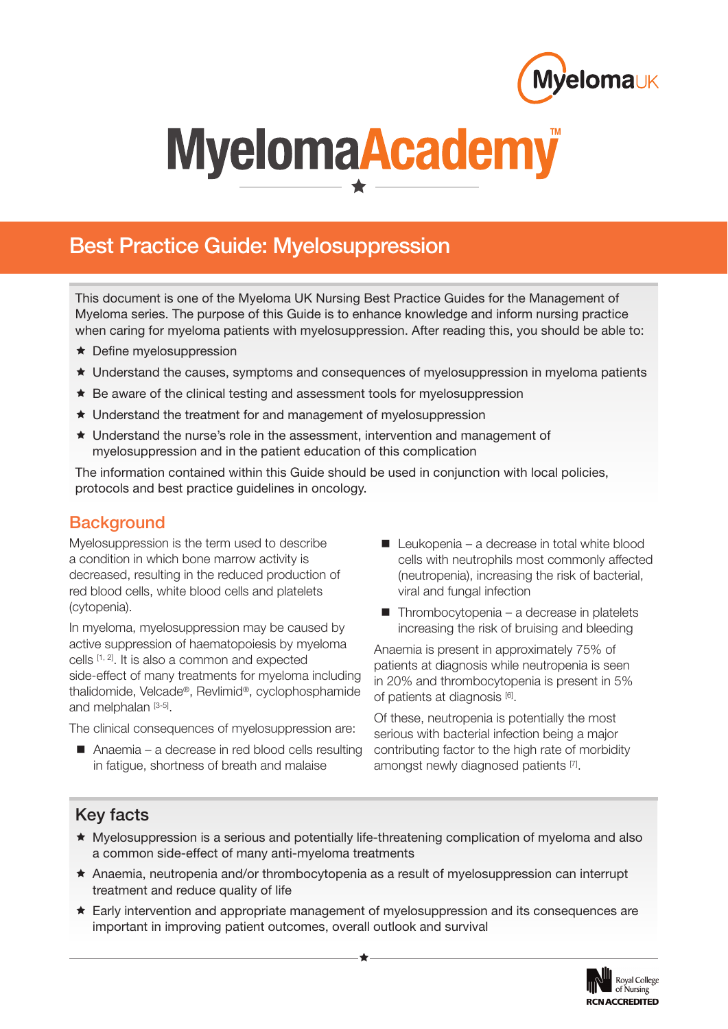

# MyelomaAcademy

## **Best Practice Guide: Myelosuppression**

This document is one of the Myeloma UK Nursing Best Practice Guides for the Management of Myeloma series. The purpose of this Guide is to enhance knowledge and inform nursing practice when caring for myeloma patients with myelosuppression. After reading this, you should be able to:

- ★ Define myelosuppression
- Understand the causes, symptoms and consequences of myelosuppression in myeloma patients
- $\star$  Be aware of the clinical testing and assessment tools for myelosuppression
- ★ Understand the treatment for and management of myelosuppression
- Understand the nurse's role in the assessment, intervention and management of myelosuppression and in the patient education of this complication

The information contained within this Guide should be used in conjunction with local policies, protocols and best practice guidelines in oncology.

## **Background**

Myelosuppression is the term used to describe a condition in which bone marrow activity is decreased, resulting in the reduced production of red blood cells, white blood cells and platelets (cytopenia).

In myeloma, myelosuppression may be caused by active suppression of haematopoiesis by myeloma cells [1, 2]. It is also a common and expected side-effect of many treatments for myeloma including thalidomide, Velcade®, Revlimid®, cyclophosphamide and melphalan [3-5].

The clinical consequences of myelosuppression are:

■ Anaemia – a decrease in red blood cells resulting in fatigue, shortness of breath and malaise

- $\blacksquare$  Leukopenia a decrease in total white blood cells with neutrophils most commonly affected (neutropenia), increasing the risk of bacterial, viral and fungal infection
- $\blacksquare$  Thrombocytopenia a decrease in platelets increasing the risk of bruising and bleeding

Anaemia is present in approximately 75% of patients at diagnosis while neutropenia is seen in 20% and thrombocytopenia is present in 5% of patients at diagnosis [6].

Of these, neutropenia is potentially the most serious with bacterial infection being a major contributing factor to the high rate of morbidity amongst newly diagnosed patients [7].

## **Key facts**

- Myelosuppression is a serious and potentially life-threatening complication of myeloma and also a common side-effect of many anti-myeloma treatments
- Anaemia, neutropenia and/or thrombocytopenia as a result of myelosuppression can interrupt treatment and reduce quality of life
- Early intervention and appropriate management of myelosuppression and its consequences are important in improving patient outcomes, overall outlook and survival

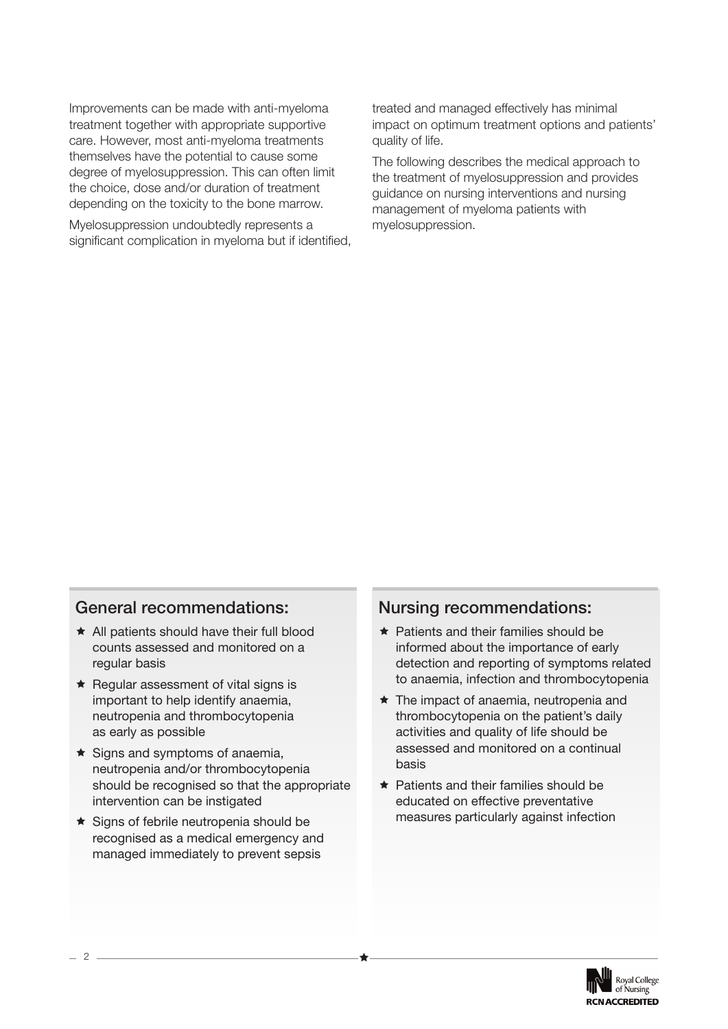Improvements can be made with anti-myeloma treatment together with appropriate supportive care. However, most anti-myeloma treatments themselves have the potential to cause some degree of myelosuppression. This can often limit the choice, dose and/or duration of treatment depending on the toxicity to the bone marrow.

Myelosuppression undoubtedly represents a significant complication in myeloma but if identified, treated and managed effectively has minimal impact on optimum treatment options and patients' quality of life.

The following describes the medical approach to the treatment of myelosuppression and provides guidance on nursing interventions and nursing management of myeloma patients with myelosuppression.

#### **General recommendations:**

- \* All patients should have their full blood counts assessed and monitored on a regular basis
- Regular assessment of vital signs is important to help identify anaemia, neutropenia and thrombocytopenia as early as possible
- $\star$  Signs and symptoms of anaemia, neutropenia and/or thrombocytopenia should be recognised so that the appropriate intervention can be instigated
- ★ Signs of febrile neutropenia should be recognised as a medical emergency and managed immediately to prevent sepsis

#### **Nursing recommendations:**

- $\star$  Patients and their families should be informed about the importance of early detection and reporting of symptoms related to anaemia, infection and thrombocytopenia
- The impact of anaemia, neutropenia and thrombocytopenia on the patient's daily activities and quality of life should be assessed and monitored on a continual basis
- **★ Patients and their families should be** educated on effective preventative measures particularly against infection



2 ——————————————<del>★</del>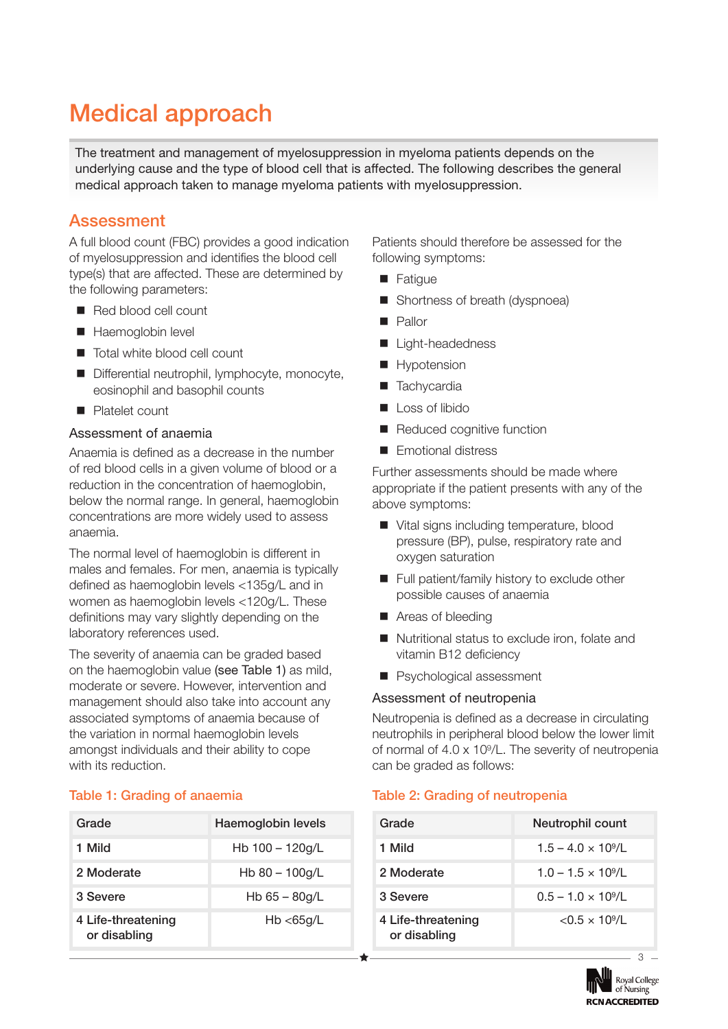# **Medical approach**

The treatment and management of myelosuppression in myeloma patients depends on the underlying cause and the type of blood cell that is affected. The following describes the general medical approach taken to manage myeloma patients with myelosuppression.

## **Assessment**

A full blood count (FBC) provides a good indication of myelosuppression and identifies the blood cell type(s) that are affected. These are determined by the following parameters:

- Red blood cell count
- Haemoglobin level
- Total white blood cell count
- Differential neutrophil, lymphocyte, monocyte, eosinophil and basophil counts
- **Platelet count**

#### Assessment of anaemia

Anaemia is defined as a decrease in the number of red blood cells in a given volume of blood or a reduction in the concentration of haemoglobin, below the normal range. In general, haemoglobin concentrations are more widely used to assess anaemia.

The normal level of haemoglobin is different in males and females. For men, anaemia is typically defined as haemoglobin levels <135g/L and in women as haemoglobin levels <120g/L. These definitions may vary slightly depending on the laboratory references used.

The severity of anaemia can be graded based on the haemoglobin value (see Table 1) as mild, moderate or severe. However, intervention and management should also take into account any associated symptoms of anaemia because of the variation in normal haemoglobin levels amongst individuals and their ability to cope with its reduction.

#### **Table 1: Grading of anaemia**

| Grade                              | Haemoglobin levels |
|------------------------------------|--------------------|
| 1 Mild                             | Hb $100 - 120q/L$  |
| 2 Moderate                         | Hb $80 - 100$ g/L  |
| 3 Severe                           | Hb $65 - 80g/L$    |
| 4 Life-threatening<br>or disabling | Hb < 65q/L         |

Patients should therefore be assessed for the following symptoms:

- **Fatique**
- Shortness of breath (dyspnoea)
- **Pallor**
- Light-headedness
- Hypotension
- **Tachycardia**
- Loss of libido
- Reduced cognitive function
- **Exercise Emotional distress**

Further assessments should be made where appropriate if the patient presents with any of the above symptoms:

- Vital signs including temperature, blood pressure (BP), pulse, respiratory rate and oxygen saturation
- Full patient/family history to exclude other possible causes of anaemia
- Areas of bleeding
- Nutritional status to exclude iron, folate and vitamin B12 deficiency
- **Psychological assessment**

#### Assessment of neutropenia

Neutropenia is defined as a decrease in circulating neutrophils in peripheral blood below the lower limit of normal of 4.0 x 109/L. The severity of neutropenia can be graded as follows:

#### **Table 2: Grading of neutropenia**

| Grade                              | Neutrophil count                 |
|------------------------------------|----------------------------------|
| 1 Mild                             | $1.5 - 4.0 \times 10\frac{9}{L}$ |
| 2 Moderate                         | $1.0 - 1.5 \times 10^{9}$ /L     |
| 3 Severe                           | $0.5 - 1.0 \times 10\frac{9}{L}$ |
| 4 Life-threatening<br>or disabling | $< 0.5 \times 10^{9}/L$          |

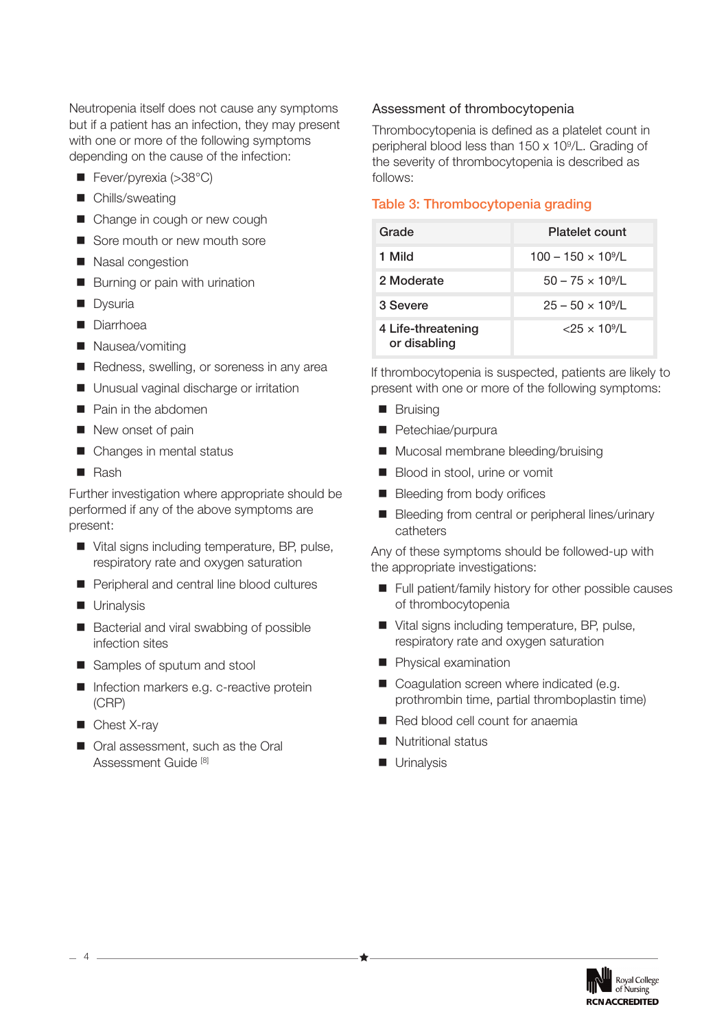Neutropenia itself does not cause any symptoms but if a patient has an infection, they may present with one or more of the following symptoms depending on the cause of the infection:

- Fever/pyrexia (>38°C)
- Chills/sweating
- Change in cough or new cough
- Sore mouth or new mouth sore
- Nasal congestion
- Burning or pain with urination
- **Dysuria**
- Diarrhoea
- Nausea/vomiting
- Redness, swelling, or soreness in any area
- **Unusual vaginal discharge or irritation**
- **Pain in the abdomen**
- New onset of pain
- Changes in mental status
- Rash

Further investigation where appropriate should be performed if any of the above symptoms are present:

- Vital signs including temperature, BP, pulse, respiratory rate and oxygen saturation
- Peripheral and central line blood cultures
- **Urinalysis**
- Bacterial and viral swabbing of possible infection sites
- Samples of sputum and stool
- **Infection markers e.g. c-reactive protein** (CRP)
- Chest X-ray
- Oral assessment, such as the Oral Assessment Guide [8]

#### Assessment of thrombocytopenia

Thrombocytopenia is defined as a platelet count in peripheral blood less than 150 x 109/L. Grading of the severity of thrombocytopenia is described as follows:

#### **Table 3: Thrombocytopenia grading**

| Grade                              | <b>Platelet count</b>                  |
|------------------------------------|----------------------------------------|
| 1 Mild                             | $100 - 150 \times 10\%$                |
| 2 Moderate                         | $50 - 75 \times 10^9$ /L               |
| 3 Severe                           | $25 - 50 \times 10^9$ /L               |
| 4 Life-threatening<br>or disabling | $\langle 25 \times 10^{9} / 1 \rangle$ |

If thrombocytopenia is suspected, patients are likely to present with one or more of the following symptoms:

- **Bruising**
- Petechiae/purpura
- Mucosal membrane bleeding/bruising
- Blood in stool, urine or vomit
- **Bleeding from body orifices**
- Bleeding from central or peripheral lines/urinary catheters

Any of these symptoms should be followed-up with the appropriate investigations:

- Full patient/family history for other possible causes of thrombocytopenia
- Vital signs including temperature, BP, pulse, respiratory rate and oxygen saturation
- **Physical examination**
- Coagulation screen where indicated (e.g. prothrombin time, partial thromboplastin time)
- Red blood cell count for anaemia
- Nutritional status
- **Urinalysis**

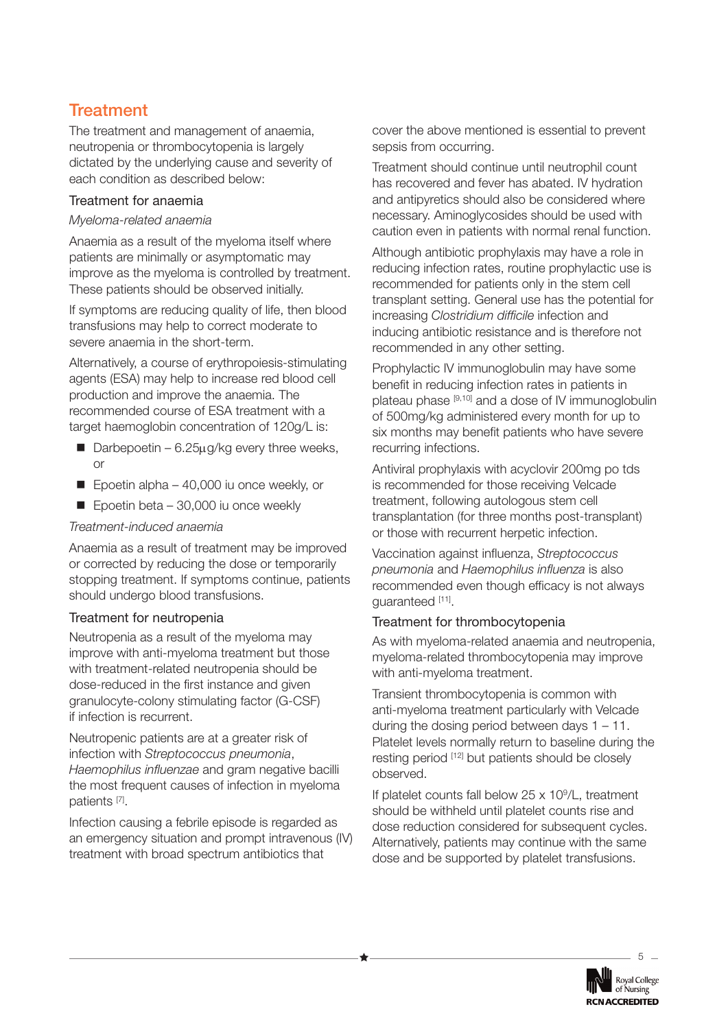## **Treatment**

The treatment and management of anaemia, neutropenia or thrombocytopenia is largely dictated by the underlying cause and severity of each condition as described below:

#### Treatment for anaemia

#### *Myeloma-related anaemia*

Anaemia as a result of the myeloma itself where patients are minimally or asymptomatic may improve as the myeloma is controlled by treatment. These patients should be observed initially.

If symptoms are reducing quality of life, then blood transfusions may help to correct moderate to severe anaemia in the short-term.

Alternatively, a course of erythropoiesis-stimulating agents (ESA) may help to increase red blood cell production and improve the anaemia. The recommended course of ESA treatment with a target haemoglobin concentration of 120g/L is:

- Darbepoetin 6.25 $\mu$ g/kg every three weeks, or
- Epoetin alpha 40,000 iu once weekly, or
- $\blacksquare$  Epoetin beta 30,000 iu once weekly

#### *Treatment-induced anaemia*

Anaemia as a result of treatment may be improved or corrected by reducing the dose or temporarily stopping treatment. If symptoms continue, patients should undergo blood transfusions.

#### Treatment for neutropenia

Neutropenia as a result of the myeloma may improve with anti-myeloma treatment but those with treatment-related neutropenia should be dose-reduced in the first instance and given granulocyte-colony stimulating factor (G-CSF) if infection is recurrent.

Neutropenic patients are at a greater risk of infection with *Streptococcus pneumonia*, *Haemophilus influenzae* and gram negative bacilli the most frequent causes of infection in myeloma patients [7].

Infection causing a febrile episode is regarded as an emergency situation and prompt intravenous (IV) treatment with broad spectrum antibiotics that

cover the above mentioned is essential to prevent sepsis from occurring.

Treatment should continue until neutrophil count has recovered and fever has abated. IV hydration and antipyretics should also be considered where necessary. Aminoglycosides should be used with caution even in patients with normal renal function.

Although antibiotic prophylaxis may have a role in reducing infection rates, routine prophylactic use is recommended for patients only in the stem cell transplant setting. General use has the potential for increasing *Clostridium difficile* infection and inducing antibiotic resistance and is therefore not recommended in any other setting.

Prophylactic IV immunoglobulin may have some benefit in reducing infection rates in patients in plateau phase [9,10] and a dose of IV immunoglobulin of 500mg/kg administered every month for up to six months may benefit patients who have severe recurring infections.

Antiviral prophylaxis with acyclovir 200mg po tds is recommended for those receiving Velcade treatment, following autologous stem cell transplantation (for three months post-transplant) or those with recurrent herpetic infection.

Vaccination against influenza, *Streptococcus pneumonia* and *Haemophilus influenza* is also recommended even though efficacy is not always guaranteed [11].

#### Treatment for thrombocytopenia

As with myeloma-related anaemia and neutropenia, myeloma-related thrombocytopenia may improve with anti-myeloma treatment.

Transient thrombocytopenia is common with anti-myeloma treatment particularly with Velcade during the dosing period between days 1 – 11. Platelet levels normally return to baseline during the resting period [12] but patients should be closely observed.

If platelet counts fall below 25 x 109/L, treatment should be withheld until platelet counts rise and dose reduction considered for subsequent cycles. Alternatively, patients may continue with the same dose and be supported by platelet transfusions.

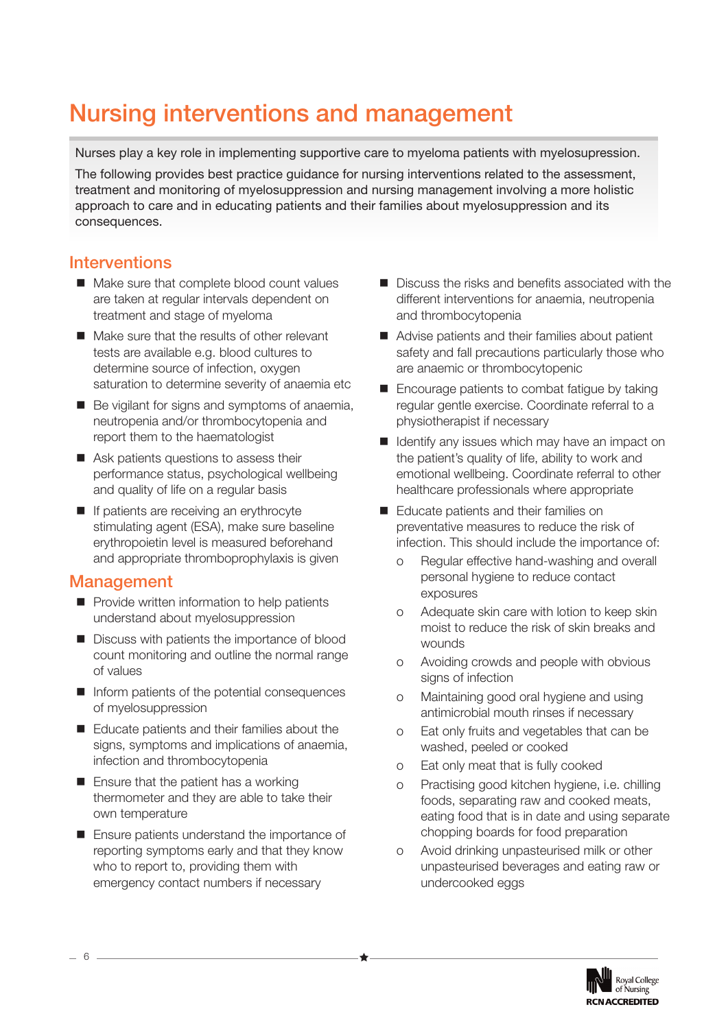# **Nursing interventions and management**

Nurses play a key role in implementing supportive care to myeloma patients with myelosupression. The following provides best practice guidance for nursing interventions related to the assessment, treatment and monitoring of myelosuppression and nursing management involving a more holistic approach to care and in educating patients and their families about myelosuppression and its consequences.

## **Interventions**

- Make sure that complete blood count values are taken at regular intervals dependent on treatment and stage of myeloma
- Make sure that the results of other relevant tests are available e.g. blood cultures to determine source of infection, oxygen saturation to determine severity of anaemia etc
- Be vigilant for signs and symptoms of anaemia, neutropenia and/or thrombocytopenia and report them to the haematologist
- Ask patients questions to assess their performance status, psychological wellbeing and quality of life on a regular basis
- If patients are receiving an erythrocyte stimulating agent (ESA), make sure baseline erythropoietin level is measured beforehand and appropriate thromboprophylaxis is given

### **Management**

- **Provide written information to help patients** understand about myelosuppression
- Discuss with patients the importance of blood count monitoring and outline the normal range of values
- $\blacksquare$  Inform patients of the potential consequences of myelosuppression
- Educate patients and their families about the signs, symptoms and implications of anaemia, infection and thrombocytopenia
- Ensure that the patient has a working thermometer and they are able to take their own temperature
- **Ensure patients understand the importance of** reporting symptoms early and that they know who to report to, providing them with emergency contact numbers if necessary
- Discuss the risks and benefits associated with the different interventions for anaemia, neutropenia and thrombocytopenia
- Advise patients and their families about patient safety and fall precautions particularly those who are anaemic or thrombocytopenic
- Encourage patients to combat fatigue by taking regular gentle exercise. Coordinate referral to a physiotherapist if necessary
- $\blacksquare$  Identify any issues which may have an impact on the patient's quality of life, ability to work and emotional wellbeing. Coordinate referral to other healthcare professionals where appropriate
- Educate patients and their families on preventative measures to reduce the risk of infection. This should include the importance of:
	- o Regular effective hand-washing and overall personal hygiene to reduce contact exposures
	- o Adequate skin care with lotion to keep skin moist to reduce the risk of skin breaks and wounds
	- o Avoiding crowds and people with obvious signs of infection
	- o Maintaining good oral hygiene and using antimicrobial mouth rinses if necessary
	- o Eat only fruits and vegetables that can be washed, peeled or cooked
	- o Eat only meat that is fully cooked
	- o Practising good kitchen hygiene, i.e. chilling foods, separating raw and cooked meats, eating food that is in date and using separate chopping boards for food preparation
	- o Avoid drinking unpasteurised milk or other unpasteurised beverages and eating raw or undercooked eggs



6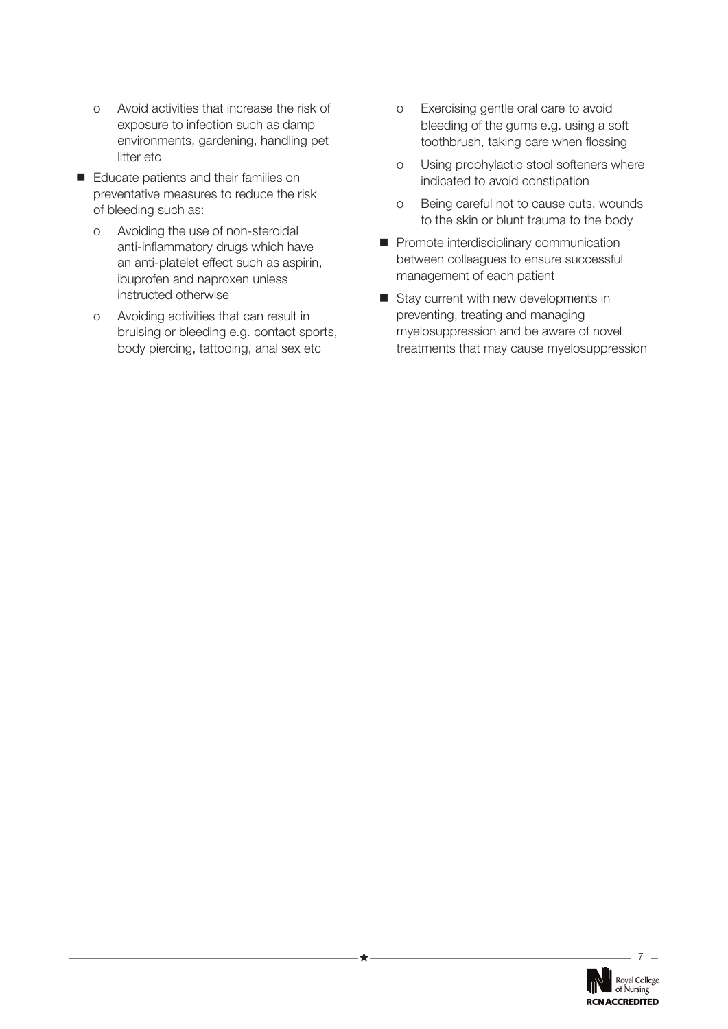- o Avoid activities that increase the risk of exposure to infection such as damp environments, gardening, handling pet litter etc
- Educate patients and their families on preventative measures to reduce the risk of bleeding such as:
	- o Avoiding the use of non-steroidal anti-inflammatory drugs which have an anti-platelet effect such as aspirin, ibuprofen and naproxen unless instructed otherwise
	- o Avoiding activities that can result in bruising or bleeding e.g. contact sports, body piercing, tattooing, anal sex etc
- o Exercising gentle oral care to avoid bleeding of the gums e.g. using a soft toothbrush, taking care when flossing
- o Using prophylactic stool softeners where indicated to avoid constipation
- o Being careful not to cause cuts, wounds to the skin or blunt trauma to the body
- **Promote interdisciplinary communication** between colleagues to ensure successful management of each patient
- Stay current with new developments in preventing, treating and managing myelosuppression and be aware of novel treatments that may cause myelosuppression

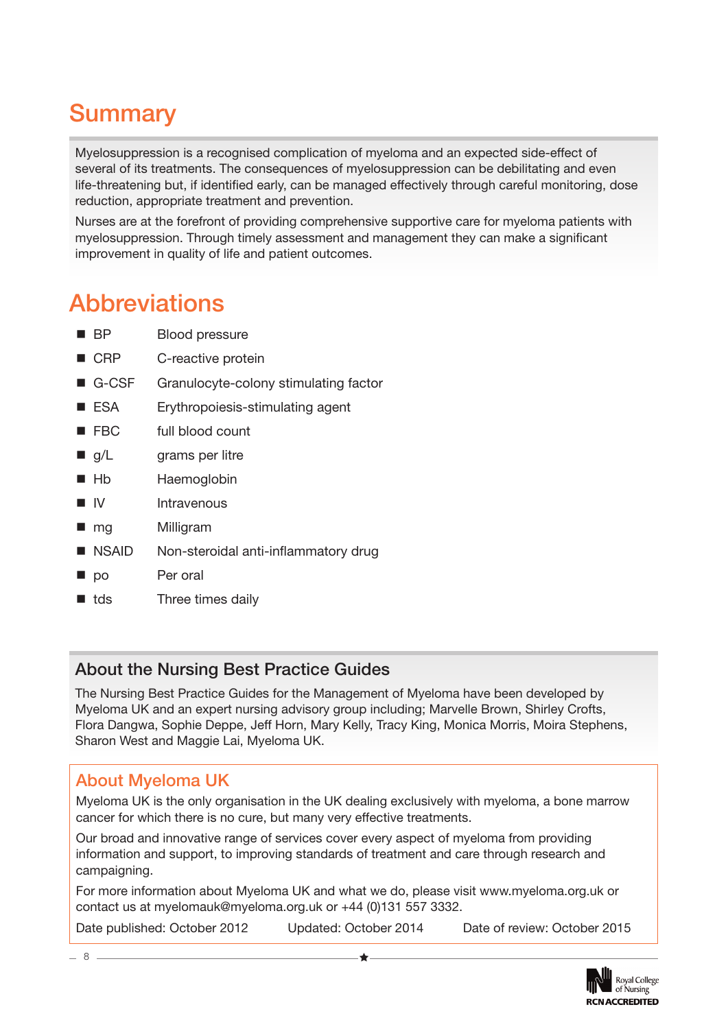# **Summary**

Myelosuppression is a recognised complication of myeloma and an expected side-effect of several of its treatments. The consequences of myelosuppression can be debilitating and even life-threatening but, if identified early, can be managed effectively through careful monitoring, dose reduction, appropriate treatment and prevention.

Nurses are at the forefront of providing comprehensive supportive care for myeloma patients with myelosuppression. Through timely assessment and management they can make a significant improvement in quality of life and patient outcomes.

# **Abbreviations**

- **BP** Blood pressure
- CRP C-reactive protein
- G-CSF Granulocyte-colony stimulating factor
- ESA Erythropoiesis-stimulating agent
- FBC full blood count
- g/L grams per litre
- Hb Haemoglobin
- I IV Intravenous
- mg Milligram
- NSAID Non-steroidal anti-inflammatory drug
- po Per oral
- **tds** Three times daily

## **About the Nursing Best Practice Guides**

The Nursing Best Practice Guides for the Management of Myeloma have been developed by Myeloma UK and an expert nursing advisory group including; Marvelle Brown, Shirley Crofts, Flora Dangwa, Sophie Deppe, Jeff Horn, Mary Kelly, Tracy King, Monica Morris, Moira Stephens, Sharon West and Maggie Lai, Myeloma UK.

## **About Myeloma UK**

Myeloma UK is the only organisation in the UK dealing exclusively with myeloma, a bone marrow cancer for which there is no cure, but many very effective treatments.

Our broad and innovative range of services cover every aspect of myeloma from providing information and support, to improving standards of treatment and care through research and campaigning.

For more information about Myeloma UK and what we do, please visit www.myeloma.org.uk or contact us at myelomauk@myeloma.org.uk or +44 (0)131 557 3332.

Date published: October 2012 Updated: October 2014 Date of review: October 2015



8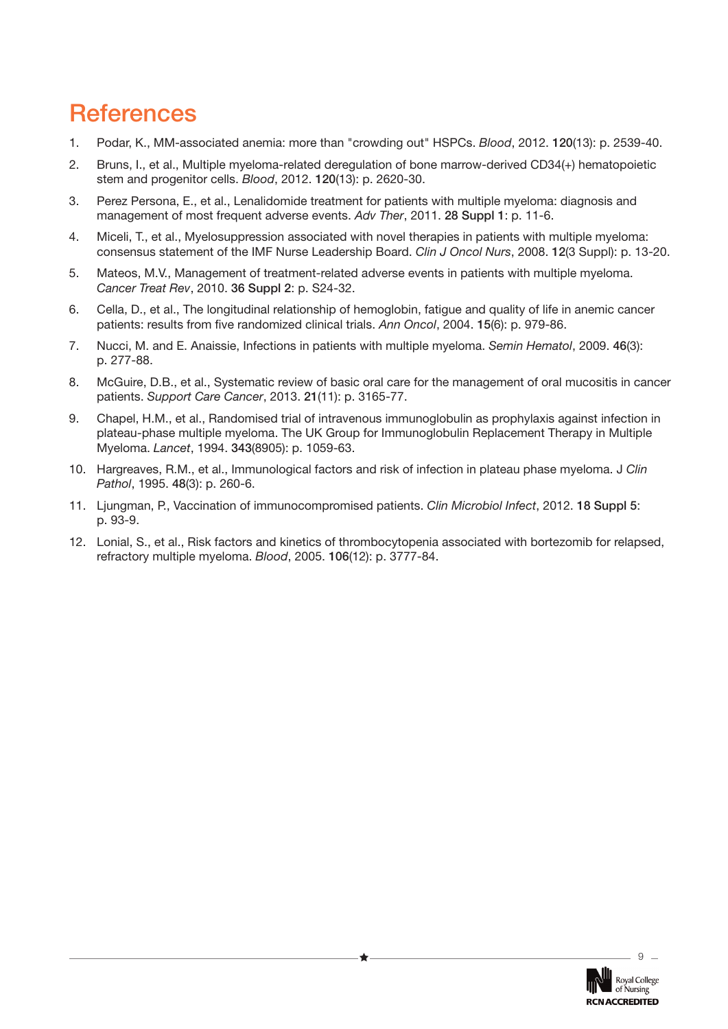# **References**

- 1. Podar, K., MM-associated anemia: more than "crowding out" HSPCs. *Blood*, 2012. **120**(13): p. 2539-40.
- 2. Bruns, I., et al., Multiple myeloma-related deregulation of bone marrow-derived CD34(+) hematopoietic stem and progenitor cells. *Blood*, 2012. **120**(13): p. 2620-30.
- 3. Perez Persona, E., et al., Lenalidomide treatment for patients with multiple myeloma: diagnosis and management of most frequent adverse events. *Adv Ther*, 2011. **28 Suppl 1**: p. 11-6.
- 4. Miceli, T., et al., Myelosuppression associated with novel therapies in patients with multiple myeloma: consensus statement of the IMF Nurse Leadership Board. *Clin J Oncol Nurs*, 2008. **12**(3 Suppl): p. 13-20.
- 5. Mateos, M.V., Management of treatment-related adverse events in patients with multiple myeloma. *Cancer Treat Rev*, 2010. **36 Suppl 2**: p. S24-32.
- 6. Cella, D., et al., The longitudinal relationship of hemoglobin, fatigue and quality of life in anemic cancer patients: results from five randomized clinical trials. *Ann Oncol*, 2004. **15**(6): p. 979-86.
- 7. Nucci, M. and E. Anaissie, Infections in patients with multiple myeloma. *Semin Hematol*, 2009. **46**(3): p. 277-88.
- 8. McGuire, D.B., et al., Systematic review of basic oral care for the management of oral mucositis in cancer patients. *Support Care Cancer*, 2013. **21**(11): p. 3165-77.
- 9. Chapel, H.M., et al., Randomised trial of intravenous immunoglobulin as prophylaxis against infection in plateau-phase multiple myeloma. The UK Group for Immunoglobulin Replacement Therapy in Multiple Myeloma. *Lancet*, 1994. **343**(8905): p. 1059-63.
- 10. Hargreaves, R.M., et al., Immunological factors and risk of infection in plateau phase myeloma. J *Clin Pathol*, 1995. **48**(3): p. 260-6.
- 11. Ljungman, P., Vaccination of immunocompromised patients. *Clin Microbiol Infect*, 2012. **18 Suppl 5**: p. 93-9.
- 12. Lonial, S., et al., Risk factors and kinetics of thrombocytopenia associated with bortezomib for relapsed, refractory multiple myeloma. *Blood*, 2005. **106**(12): p. 3777-84.

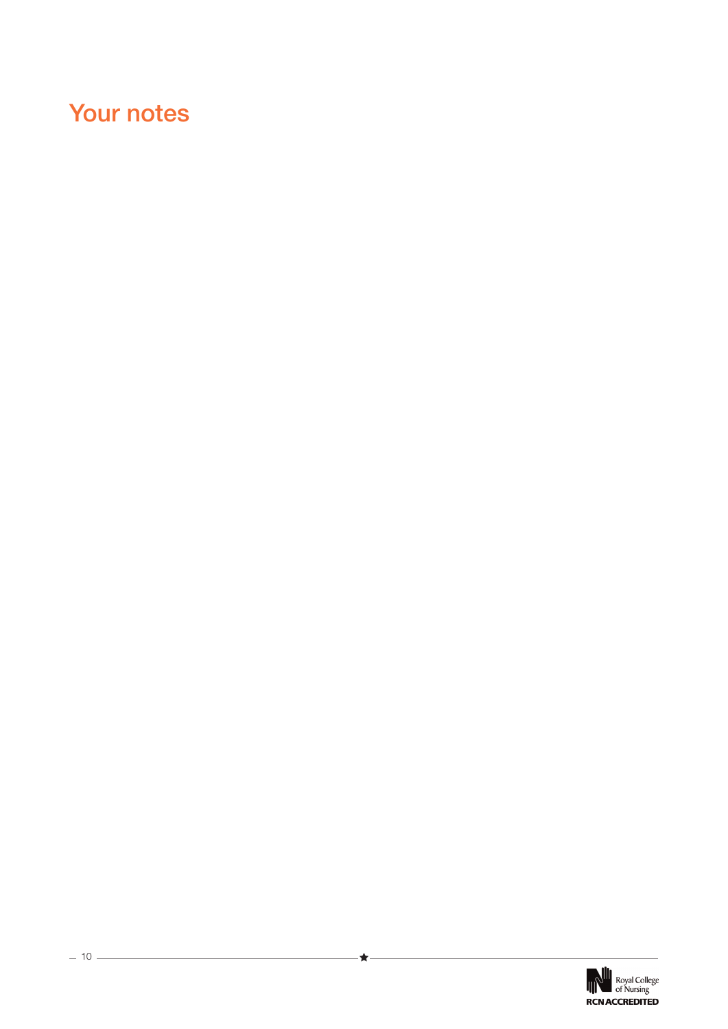# **Your notes**

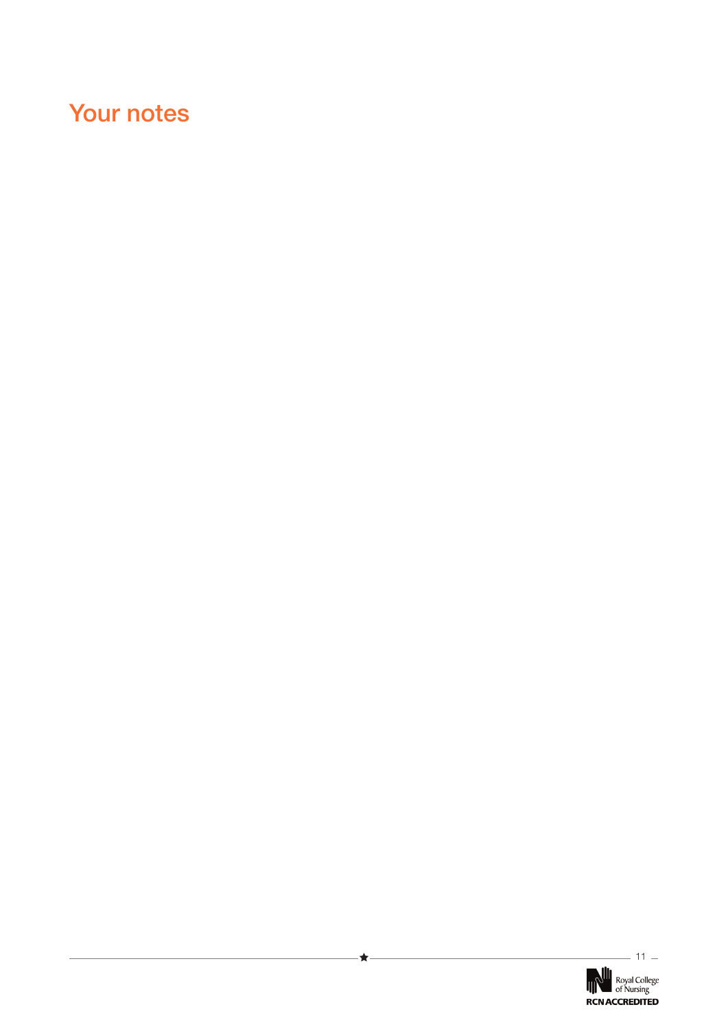# **Your notes**